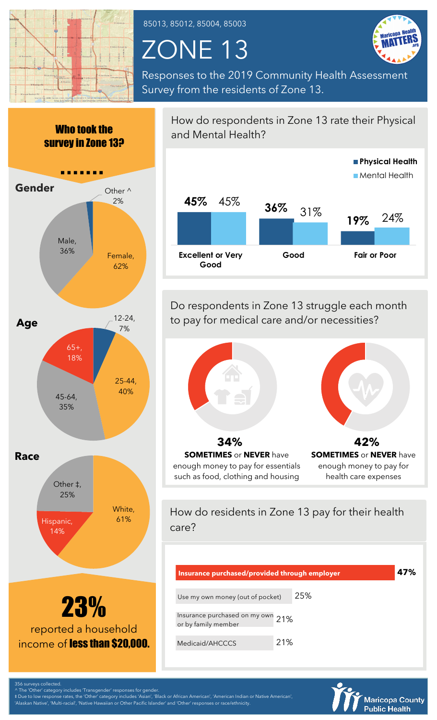

85013, 85012, 85004, 85003

## ZONE 13



Responses to the 2019 Community Health Assessment Survey from the residents of Zone 13.



The 'Other' category includes 'Transgender' responses for gende

‡ Due to low response rates, the 'Other' category includes 'Asian', 'Black or African American', 'American Indian or Native American',

'Alaskan Native', 'Multi-racial', 'Native Hawaiian or Other Pacific Islander' and 'Other' responses or race/ethnicity.

How do respondents in Zone 13 rate their Physical and Mental Health? **45% 36% 19%** 45%  $31\%$  10%  $24\%$ **Excellent or Very Good Good Fair or Poor Physical Health Mental Health** 

Do respondents in Zone 13 struggle each month to pay for medical care and/or necessities?



enough money to pay for essentials such as food, clothing and housing

enough money to pay for health care expenses

How do residents in Zone 13 pay for their health care?

| Insurance purchased/provided through employer            |     |  | 47% |
|----------------------------------------------------------|-----|--|-----|
| Use my own money (out of pocket)                         | 25% |  |     |
| Insurance purchased on my own 21%<br>or by family member |     |  |     |
| Medicaid/AHCCCS                                          | 21% |  |     |